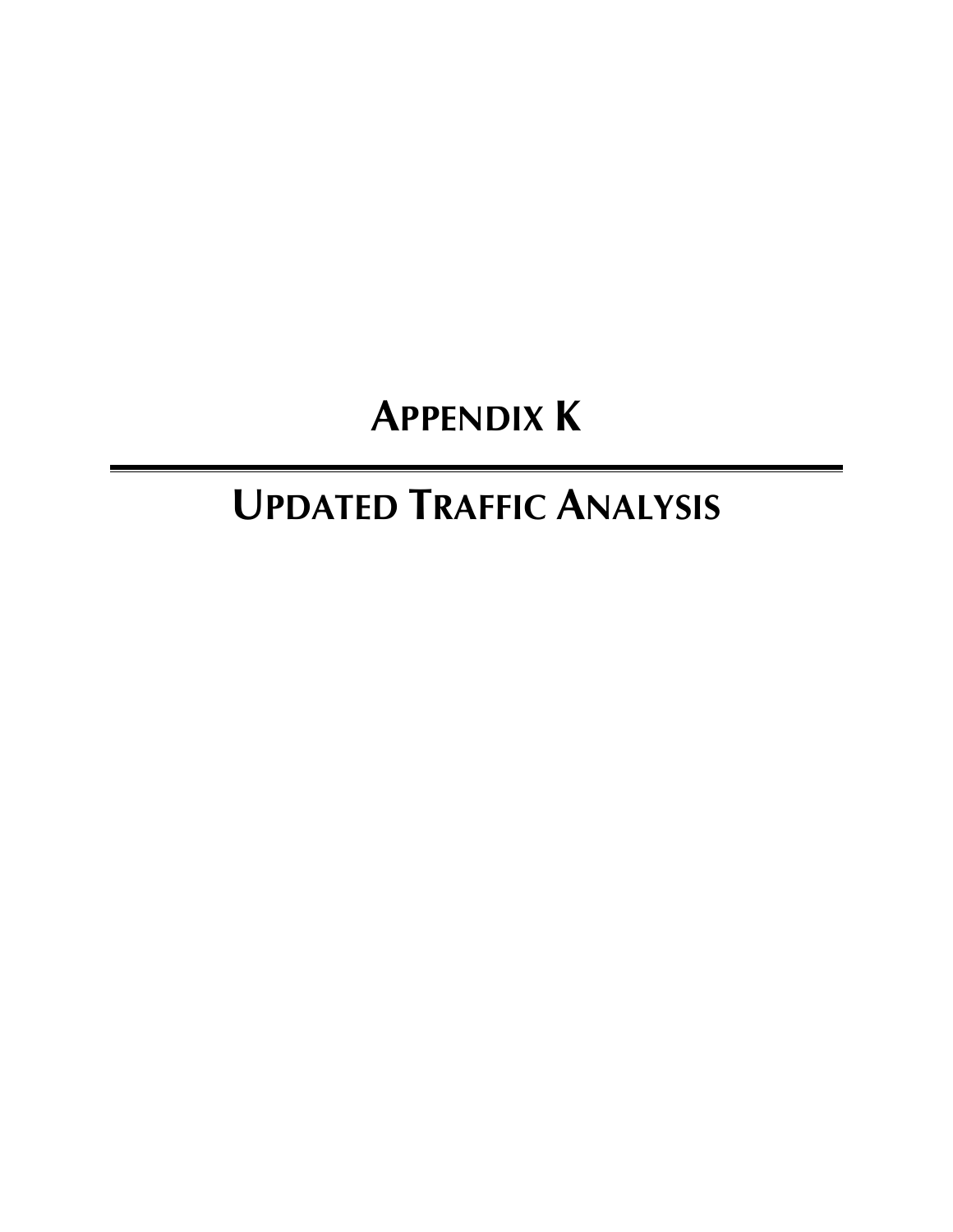# **APPENDIX K**

# **UPDATED TRAFFIC ANALYSIS**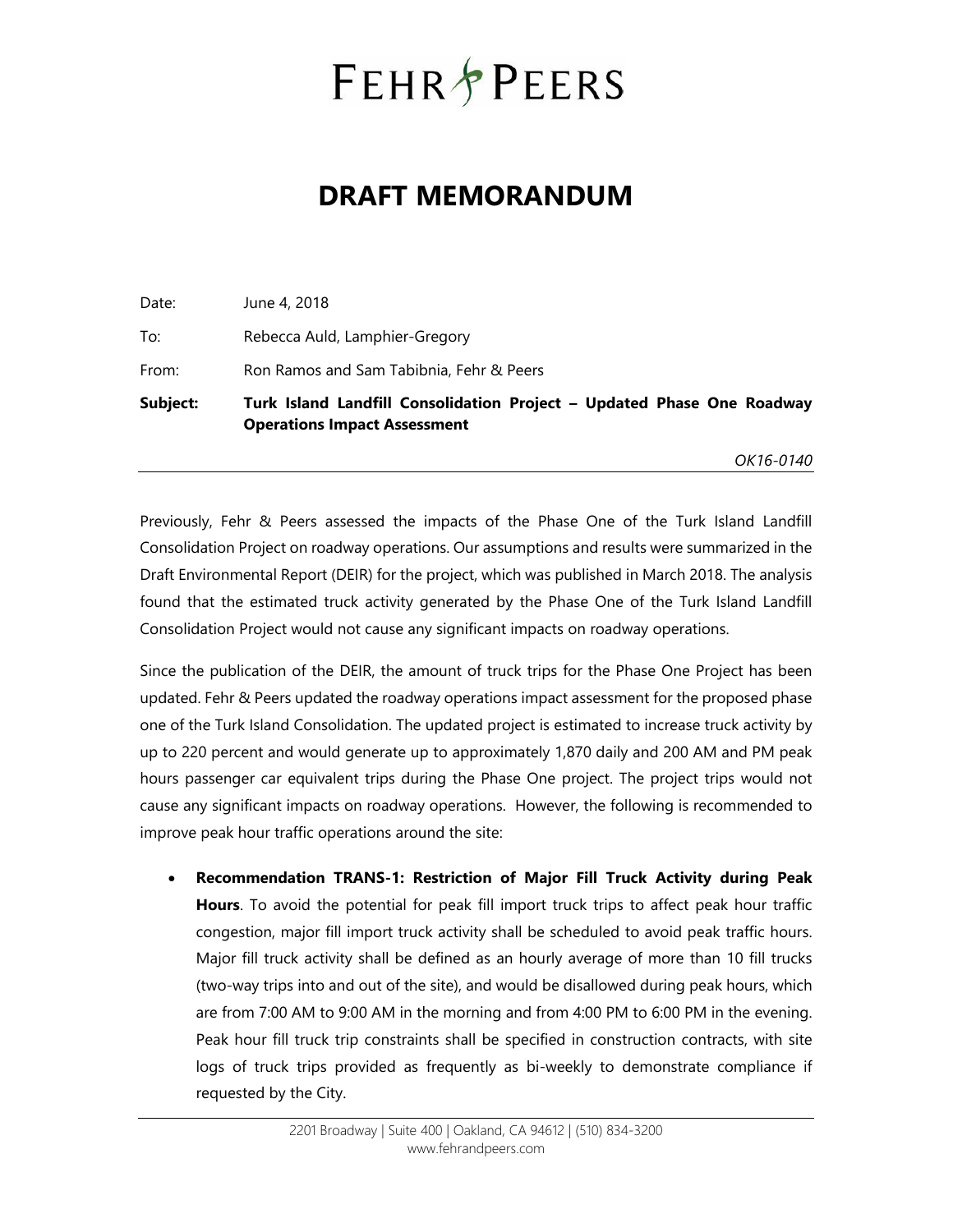# **FEHR PEERS**

## **DRAFT MEMORANDUM**

| Subject: | Turk Island Landfill Consolidation Project - Updated Phase One Roadway<br><b>Operations Impact Assessment</b> |
|----------|---------------------------------------------------------------------------------------------------------------|
| From:    | Ron Ramos and Sam Tabibnia, Fehr & Peers                                                                      |
| To:      | Rebecca Auld, Lamphier-Gregory                                                                                |
| Date:    | June 4, 2018                                                                                                  |

*OK16-0140* 

Previously, Fehr & Peers assessed the impacts of the Phase One of the Turk Island Landfill Consolidation Project on roadway operations. Our assumptions and results were summarized in the Draft Environmental Report (DEIR) for the project, which was published in March 2018. The analysis found that the estimated truck activity generated by the Phase One of the Turk Island Landfill Consolidation Project would not cause any significant impacts on roadway operations.

Since the publication of the DEIR, the amount of truck trips for the Phase One Project has been updated. Fehr & Peers updated the roadway operations impact assessment for the proposed phase one of the Turk Island Consolidation. The updated project is estimated to increase truck activity by up to 220 percent and would generate up to approximately 1,870 daily and 200 AM and PM peak hours passenger car equivalent trips during the Phase One project. The project trips would not cause any significant impacts on roadway operations. However, the following is recommended to improve peak hour traffic operations around the site:

 **Recommendation TRANS-1: Restriction of Major Fill Truck Activity during Peak Hours**. To avoid the potential for peak fill import truck trips to affect peak hour traffic congestion, major fill import truck activity shall be scheduled to avoid peak traffic hours. Major fill truck activity shall be defined as an hourly average of more than 10 fill trucks (two-way trips into and out of the site), and would be disallowed during peak hours, which are from 7:00 AM to 9:00 AM in the morning and from 4:00 PM to 6:00 PM in the evening. Peak hour fill truck trip constraints shall be specified in construction contracts, with site logs of truck trips provided as frequently as bi-weekly to demonstrate compliance if requested by the City.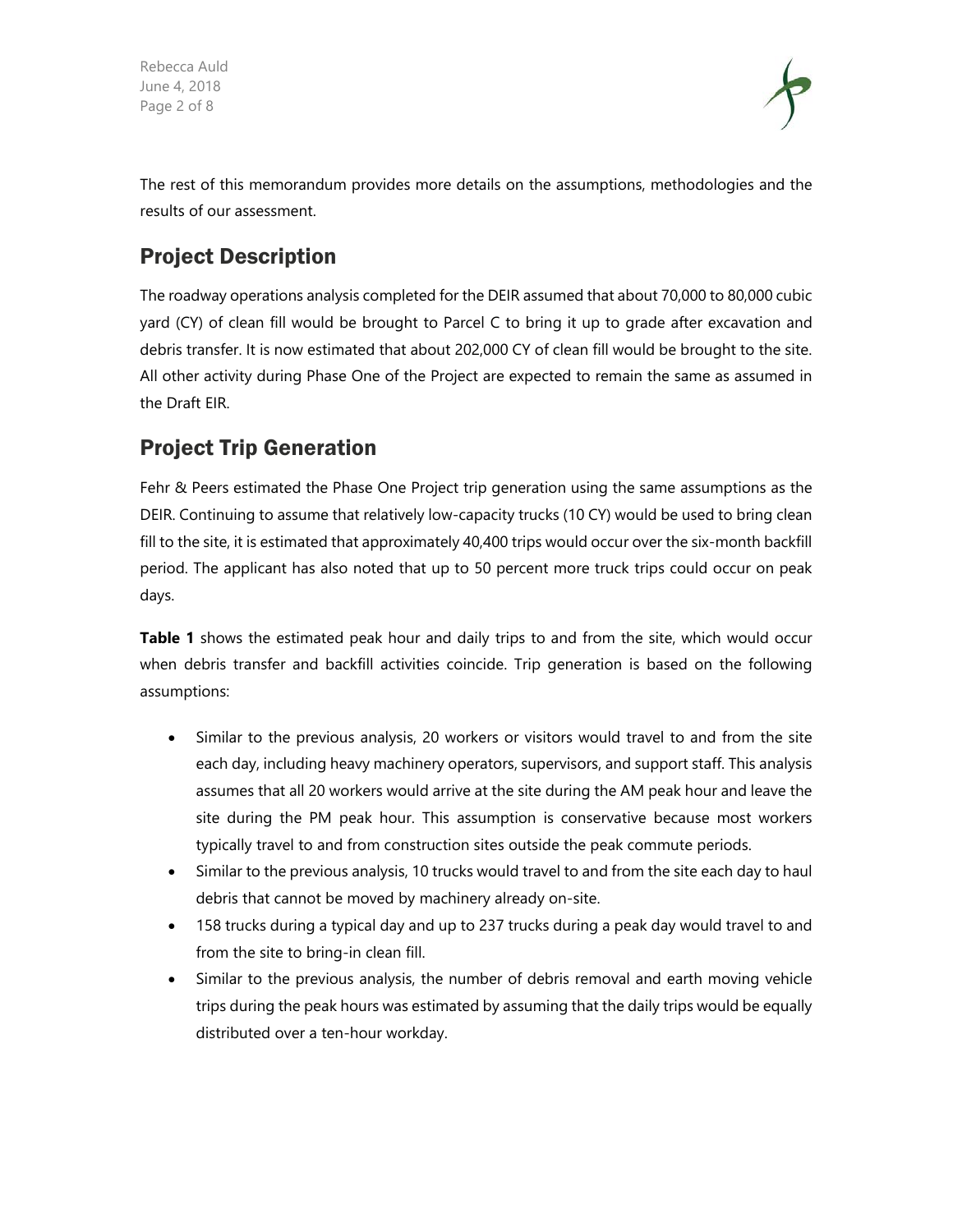Rebecca Auld June 4, 2018 Page 2 of 8



The rest of this memorandum provides more details on the assumptions, methodologies and the results of our assessment.

## Project Description

The roadway operations analysis completed for the DEIR assumed that about 70,000 to 80,000 cubic yard (CY) of clean fill would be brought to Parcel C to bring it up to grade after excavation and debris transfer. It is now estimated that about 202,000 CY of clean fill would be brought to the site. All other activity during Phase One of the Project are expected to remain the same as assumed in the Draft EIR.

### Project Trip Generation

Fehr & Peers estimated the Phase One Project trip generation using the same assumptions as the DEIR. Continuing to assume that relatively low-capacity trucks (10 CY) would be used to bring clean fill to the site, it is estimated that approximately 40,400 trips would occur over the six-month backfill period. The applicant has also noted that up to 50 percent more truck trips could occur on peak days.

**Table 1** shows the estimated peak hour and daily trips to and from the site, which would occur when debris transfer and backfill activities coincide. Trip generation is based on the following assumptions:

- Similar to the previous analysis, 20 workers or visitors would travel to and from the site each day, including heavy machinery operators, supervisors, and support staff. This analysis assumes that all 20 workers would arrive at the site during the AM peak hour and leave the site during the PM peak hour. This assumption is conservative because most workers typically travel to and from construction sites outside the peak commute periods.
- Similar to the previous analysis, 10 trucks would travel to and from the site each day to haul debris that cannot be moved by machinery already on-site.
- 158 trucks during a typical day and up to 237 trucks during a peak day would travel to and from the site to bring-in clean fill.
- Similar to the previous analysis, the number of debris removal and earth moving vehicle trips during the peak hours was estimated by assuming that the daily trips would be equally distributed over a ten-hour workday.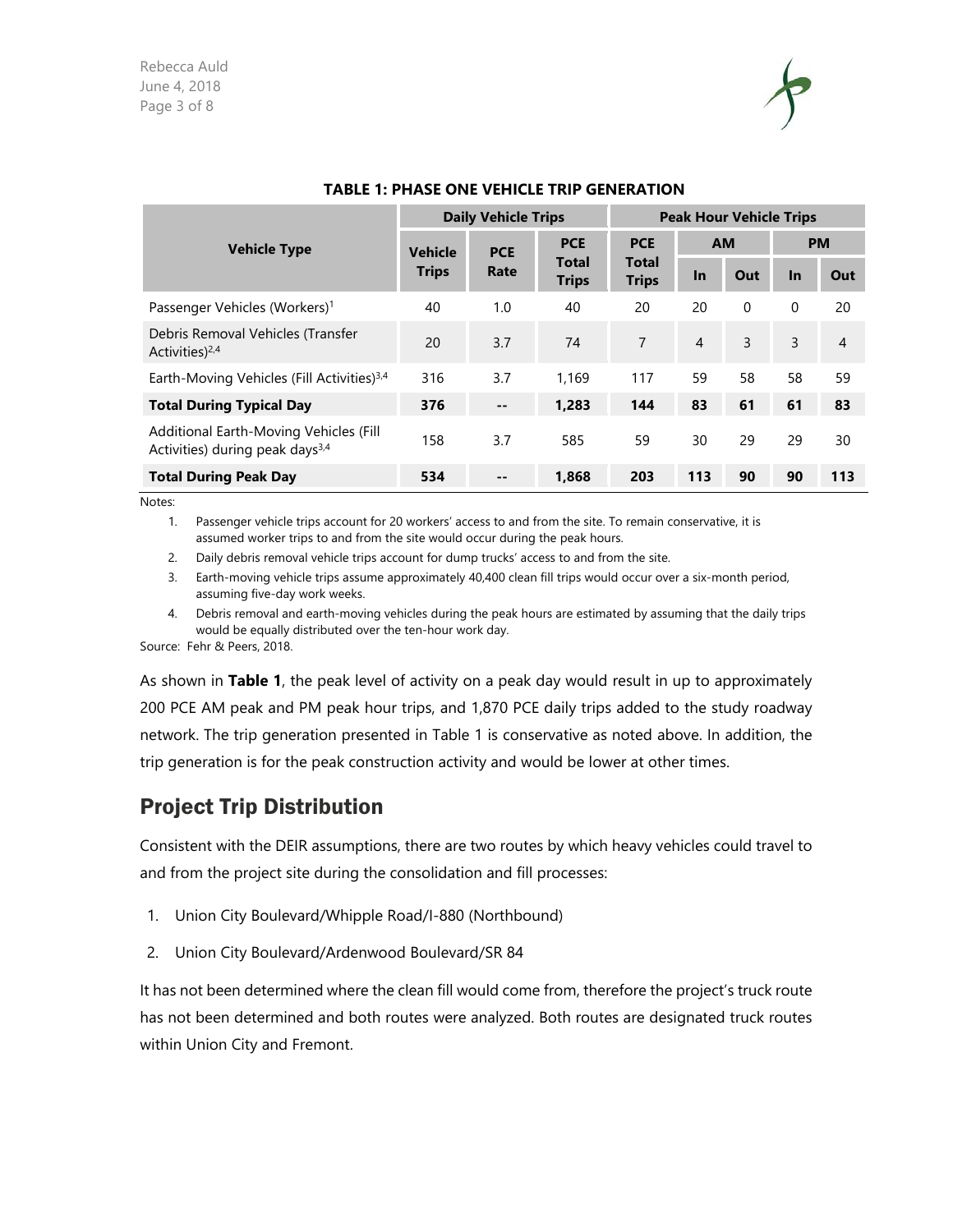

|                                                                                       |                      | <b>Daily Vehicle Trips</b> |                              | <b>Peak Hour Vehicle Trips</b> |                |                |           |                |  |  |
|---------------------------------------------------------------------------------------|----------------------|----------------------------|------------------------------|--------------------------------|----------------|----------------|-----------|----------------|--|--|
| <b>Vehicle Type</b>                                                                   | <b>Vehicle</b>       | <b>PCE</b>                 | <b>PCE</b>                   | <b>PCE</b>                     | <b>AM</b>      |                | <b>PM</b> |                |  |  |
|                                                                                       | <b>Trips</b><br>Rate |                            | <b>Total</b><br><b>Trips</b> | <b>Total</b><br><b>Trips</b>   | <b>In</b>      | Out            | $\ln$     | Out            |  |  |
| Passenger Vehicles (Workers) <sup>1</sup>                                             | 40                   | 1.0                        | 40                           | 20                             | 20             | $\Omega$       | 0         | 20             |  |  |
| Debris Removal Vehicles (Transfer<br>Activities) <sup>2,4</sup>                       | 20                   | 3.7                        | 74                           | $\overline{7}$                 | $\overline{4}$ | $\overline{3}$ | 3         | $\overline{4}$ |  |  |
| Earth-Moving Vehicles (Fill Activities) <sup>3,4</sup>                                | 316                  | 3.7                        | 1.169                        | 117                            | 59             | 58             | 58        | 59             |  |  |
| <b>Total During Typical Day</b>                                                       | 376                  | $-$                        | 1.283                        | 144                            | 83             | 61             | 61        | 83             |  |  |
| Additional Earth-Moving Vehicles (Fill<br>Activities) during peak days <sup>3,4</sup> | 158                  | 3.7                        | 585                          | 59                             | 30             | 29             | 29        | 30             |  |  |
| <b>Total During Peak Day</b>                                                          | 534                  | --                         | 1,868                        | 203                            | 113            | 90             | 90        | 113            |  |  |

#### **TABLE 1: PHASE ONE VEHICLE TRIP GENERATION**

Notes:

1. Passenger vehicle trips account for 20 workers' access to and from the site. To remain conservative, it is assumed worker trips to and from the site would occur during the peak hours.

2. Daily debris removal vehicle trips account for dump trucks' access to and from the site.

3. Earth-moving vehicle trips assume approximately 40,400 clean fill trips would occur over a six-month period, assuming five-day work weeks.

4. Debris removal and earth-moving vehicles during the peak hours are estimated by assuming that the daily trips would be equally distributed over the ten-hour work day.

Source: Fehr & Peers, 2018.

As shown in **Table 1**, the peak level of activity on a peak day would result in up to approximately 200 PCE AM peak and PM peak hour trips, and 1,870 PCE daily trips added to the study roadway network. The trip generation presented in Table 1 is conservative as noted above. In addition, the trip generation is for the peak construction activity and would be lower at other times.

### Project Trip Distribution

Consistent with the DEIR assumptions, there are two routes by which heavy vehicles could travel to and from the project site during the consolidation and fill processes:

- 1. Union City Boulevard/Whipple Road/I-880 (Northbound)
- 2. Union City Boulevard/Ardenwood Boulevard/SR 84

It has not been determined where the clean fill would come from, therefore the project's truck route has not been determined and both routes were analyzed. Both routes are designated truck routes within Union City and Fremont.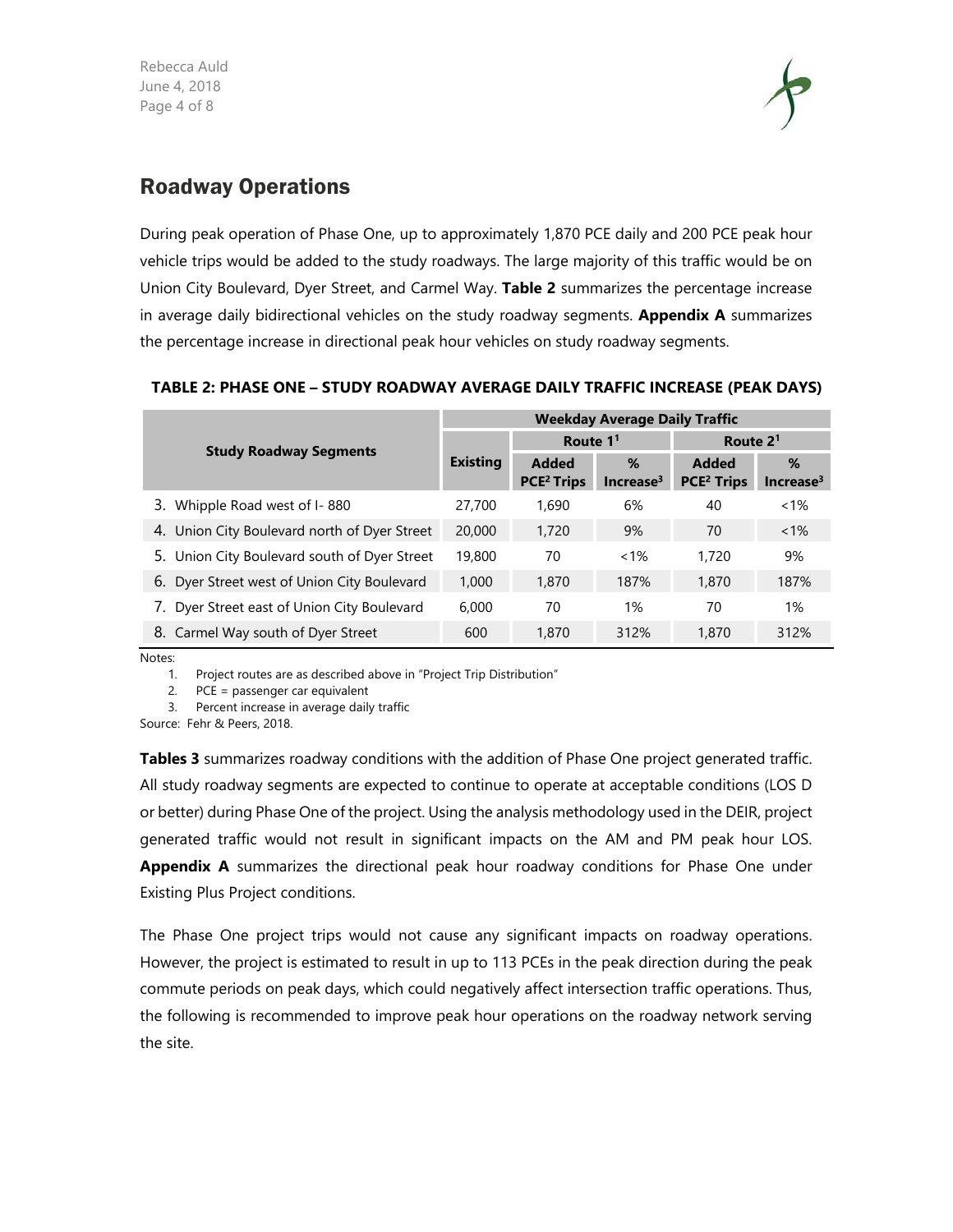Rebecca Auld June 4, 2018 Page 4 of 8



### Roadway Operations

During peak operation of Phase One, up to approximately 1,870 PCE daily and 200 PCE peak hour vehicle trips would be added to the study roadways. The large majority of this traffic would be on Union City Boulevard, Dyer Street, and Carmel Way. **Table 2** summarizes the percentage increase in average daily bidirectional vehicles on the study roadway segments. **Appendix A** summarizes the percentage increase in directional peak hour vehicles on study roadway segments.

|                                              | <b>Weekday Average Daily Traffic</b> |                        |                       |                        |                       |  |  |  |  |  |  |
|----------------------------------------------|--------------------------------------|------------------------|-----------------------|------------------------|-----------------------|--|--|--|--|--|--|
| <b>Study Roadway Segments</b>                |                                      | Route $11$             |                       | Route 2 <sup>1</sup>   |                       |  |  |  |  |  |  |
|                                              | <b>Existing</b>                      | <b>Added</b>           | %                     | <b>Added</b>           | %                     |  |  |  |  |  |  |
|                                              |                                      | PCE <sup>2</sup> Trips | Increase <sup>3</sup> | PCE <sup>2</sup> Trips | Increase <sup>3</sup> |  |  |  |  |  |  |
| 3. Whipple Road west of I-880                | 27,700                               | 1,690                  | 6%                    | 40                     | $< 1\%$               |  |  |  |  |  |  |
| 4. Union City Boulevard north of Dyer Street | 20,000                               | 1,720                  | 9%                    | 70                     | $< 1\%$               |  |  |  |  |  |  |
| 5. Union City Boulevard south of Dyer Street | 19,800                               | 70                     | $< 1\%$               | 1,720                  | 9%                    |  |  |  |  |  |  |
| 6. Dyer Street west of Union City Boulevard  | 1,000                                | 1,870                  | 187%                  | 1,870                  | 187%                  |  |  |  |  |  |  |
| 7. Dyer Street east of Union City Boulevard  | 6,000                                | 70                     | 1%                    | 70                     | 1%                    |  |  |  |  |  |  |
| 8. Carmel Way south of Dyer Street           | 600                                  | 1,870                  | 312%                  | 1,870                  | 312%                  |  |  |  |  |  |  |

#### **TABLE 2: PHASE ONE – STUDY ROADWAY AVERAGE DAILY TRAFFIC INCREASE (PEAK DAYS)**

Notes:

1. Project routes are as described above in "Project Trip Distribution"

2. PCE = passenger car equivalent

3. Percent increase in average daily traffic

Source: Fehr & Peers, 2018.

**Tables 3** summarizes roadway conditions with the addition of Phase One project generated traffic. All study roadway segments are expected to continue to operate at acceptable conditions (LOS D or better) during Phase One of the project. Using the analysis methodology used in the DEIR, project generated traffic would not result in significant impacts on the AM and PM peak hour LOS. Appendix A summarizes the directional peak hour roadway conditions for Phase One under Existing Plus Project conditions.

The Phase One project trips would not cause any significant impacts on roadway operations. However, the project is estimated to result in up to 113 PCEs in the peak direction during the peak commute periods on peak days, which could negatively affect intersection traffic operations. Thus, the following is recommended to improve peak hour operations on the roadway network serving the site.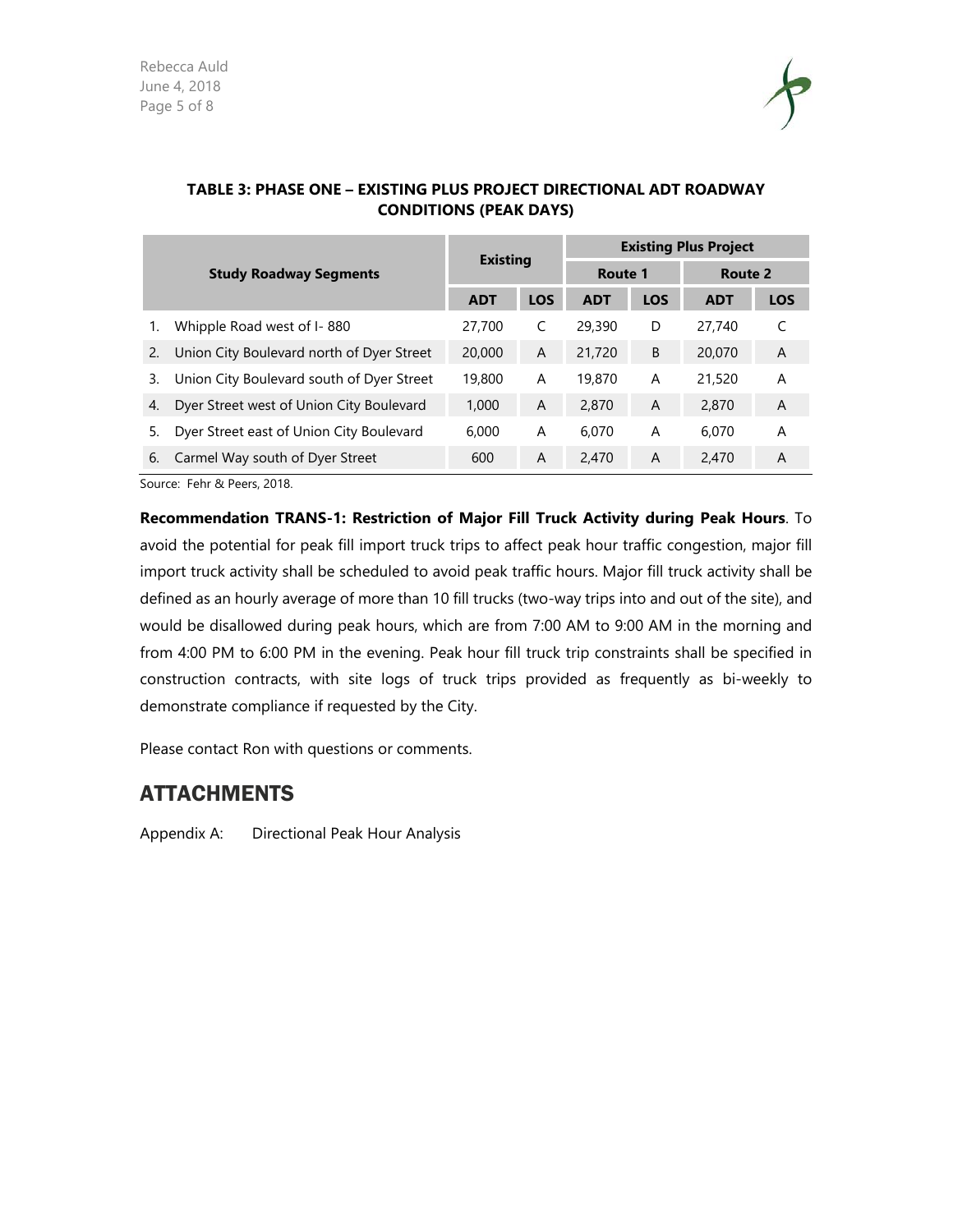

| <b>Study Roadway Segments</b> |                                           |                 |            | <b>Existing Plus Project</b> |            |            |                |  |  |  |  |
|-------------------------------|-------------------------------------------|-----------------|------------|------------------------------|------------|------------|----------------|--|--|--|--|
|                               |                                           | <b>Existing</b> |            | Route 1                      |            | Route 2    |                |  |  |  |  |
|                               |                                           | <b>ADT</b>      | <b>LOS</b> | <b>ADT</b>                   | <b>LOS</b> | <b>ADT</b> | <b>LOS</b>     |  |  |  |  |
|                               | Whipple Road west of I-880                | 27,700          | C          | 29,390                       | D          | 27,740     | C              |  |  |  |  |
| 2.                            | Union City Boulevard north of Dyer Street | 20,000          | A          | 21,720                       | B          | 20,070     | A              |  |  |  |  |
| 3.                            | Union City Boulevard south of Dyer Street | 19,800          | A          | 19,870                       | A          | 21,520     | A              |  |  |  |  |
| 4.                            | Dyer Street west of Union City Boulevard  | 1,000           | A          | 2,870                        | A          | 2,870      | $\overline{A}$ |  |  |  |  |
| 5.                            | Dyer Street east of Union City Boulevard  | 6,000           | A          | 6.070                        | A          | 6.070      | A              |  |  |  |  |
| 6.                            | Carmel Way south of Dyer Street           | 600             | A          | 2,470                        | A          | 2,470      | A              |  |  |  |  |

#### **TABLE 3: PHASE ONE – EXISTING PLUS PROJECT DIRECTIONAL ADT ROADWAY CONDITIONS (PEAK DAYS)**

Source: Fehr & Peers, 2018.

**Recommendation TRANS-1: Restriction of Major Fill Truck Activity during Peak Hours**. To avoid the potential for peak fill import truck trips to affect peak hour traffic congestion, major fill import truck activity shall be scheduled to avoid peak traffic hours. Major fill truck activity shall be defined as an hourly average of more than 10 fill trucks (two-way trips into and out of the site), and would be disallowed during peak hours, which are from 7:00 AM to 9:00 AM in the morning and from 4:00 PM to 6:00 PM in the evening. Peak hour fill truck trip constraints shall be specified in construction contracts, with site logs of truck trips provided as frequently as bi-weekly to demonstrate compliance if requested by the City.

Please contact Ron with questions or comments.

#### ATTACHMENTS

Appendix A: Directional Peak Hour Analysis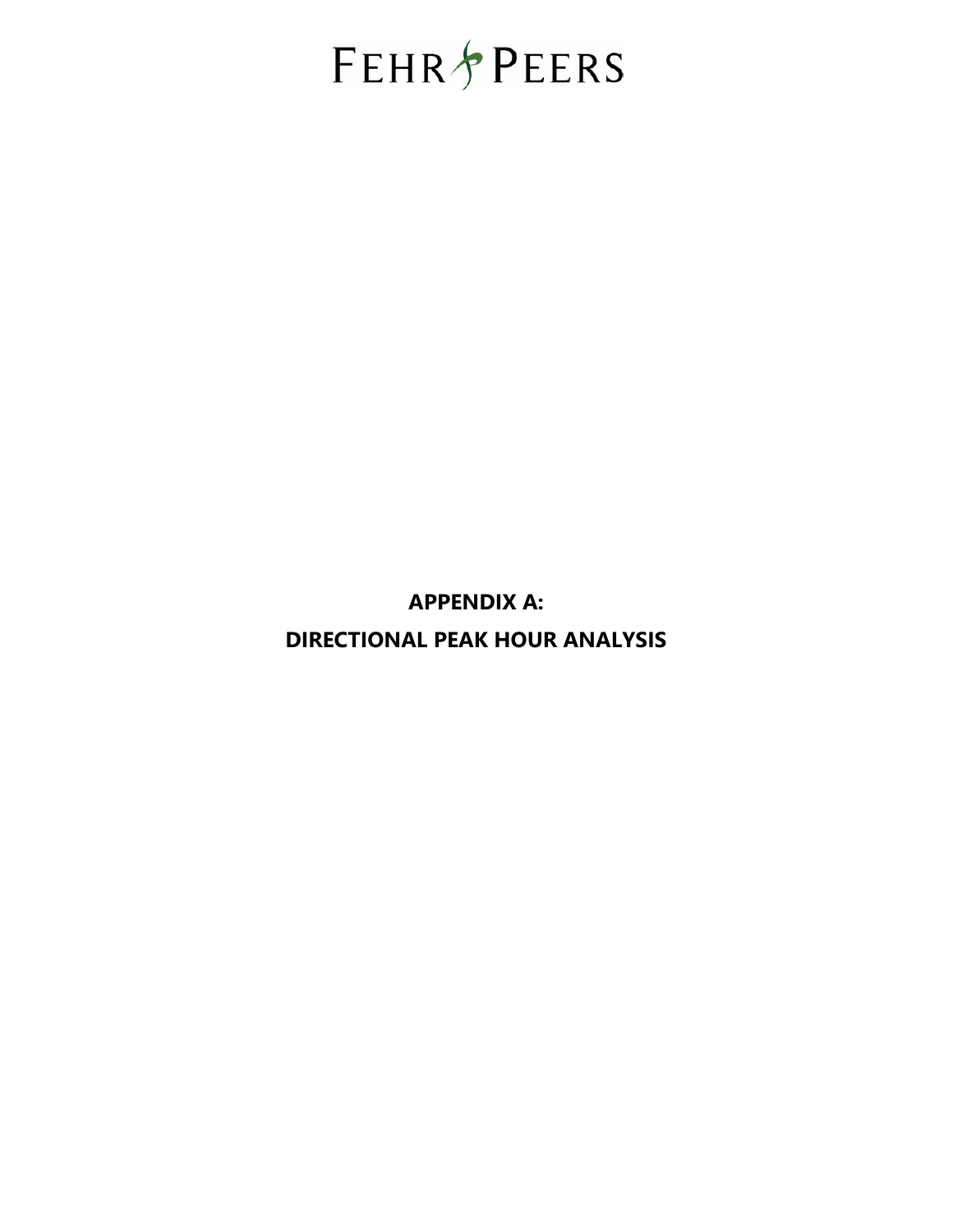# **FEHR PEERS**

**APPENDIX A: DIRECTIONAL PEAK HOUR ANALYSIS**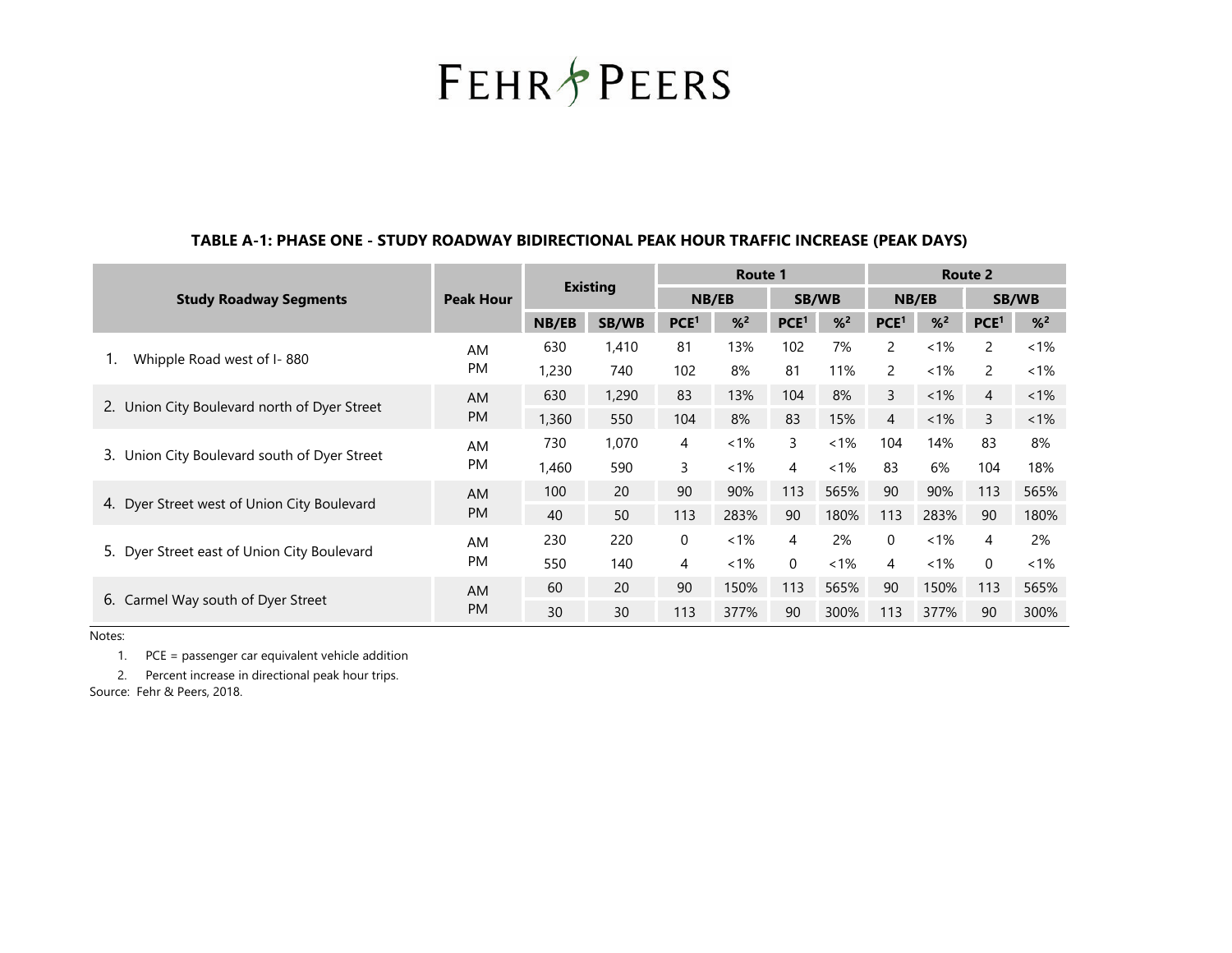**FEHR & PEERS** 

#### **TABLE A-1: PHASE ONE - STUDY ROADWAY BIDIRECTIONAL PEAK HOUR TRAFFIC INCREASE (PEAK DAYS)**

|                                                 | <b>Existing</b>  |       |              | Route 1          |         |                  |         | Route 2          |         |                  |         |
|-------------------------------------------------|------------------|-------|--------------|------------------|---------|------------------|---------|------------------|---------|------------------|---------|
| <b>Study Roadway Segments</b>                   | <b>Peak Hour</b> |       |              | NB/EB            |         | <b>SB/WB</b>     |         | NB/EB            |         | <b>SB/WB</b>     |         |
|                                                 |                  | NB/EB | <b>SB/WB</b> | PCE <sup>1</sup> | $%^{2}$ | PCE <sup>1</sup> | $%^{2}$ | PCE <sup>1</sup> | $%^{2}$ | PCE <sup>1</sup> | $%^{2}$ |
| Whipple Road west of I-880                      | AM               | 630   | 1,410        | 81               | 13%     | 102              | 7%      | 2                | $< 1\%$ | 2                | $1\%$   |
|                                                 | <b>PM</b>        | 1,230 | 740          | 102              | 8%      | 81               | 11%     | $\overline{2}$   | $<1\%$  | 2                | $< 1\%$ |
|                                                 | AM               | 630   | 1,290        | 83               | 13%     | 104              | 8%      | 3                | $<1\%$  | 4                | $1\%$   |
| 2. Union City Boulevard north of Dyer Street    | <b>PM</b>        | 1,360 | 550          | 104              | 8%      | 83               | 15%     | 4                | $<1\%$  | 3                | $1\%$   |
| 3.<br>Union City Boulevard south of Dyer Street | AM               | 730   | 1,070        | 4                | $< 1\%$ | 3                | $< 1\%$ | 104              | 14%     | 83               | 8%      |
|                                                 | <b>PM</b>        | 1,460 | 590          | 3                | $< 1\%$ | 4                | $<1\%$  | 83               | 6%      | 104              | 18%     |
|                                                 | <b>AM</b>        | 100   | 20           | 90               | 90%     | 113              | 565%    | 90               | 90%     | 113              | 565%    |
| 4. Dyer Street west of Union City Boulevard     | <b>PM</b>        | 40    | 50           | 113              | 283%    | 90               | 180%    | 113              | 283%    | 90               | 180%    |
|                                                 | AM               | 230   | 220          | 0                | $< 1\%$ | 4                | 2%      | $\Omega$         | $< 1\%$ | 4                | 2%      |
| 5. Dyer Street east of Union City Boulevard     | <b>PM</b>        | 550   | 140          | 4                | $< 1\%$ | $\Omega$         | $< 1\%$ | 4                | $<1\%$  | $\Omega$         | $< 1\%$ |
|                                                 | <b>AM</b>        | 60    | 20           | 90               | 150%    | 113              | 565%    | 90               | 150%    | 113              | 565%    |
| 6. Carmel Way south of Dyer Street              | <b>PM</b>        | 30    | 30           | 113              | 377%    | 90               | 300%    | 113              | 377%    | 90               | 300%    |

Notes:

1. PCE = passenger car equivalent vehicle addition

2. Percent increase in directional peak hour trips.

Source: Fehr & Peers, 2018.